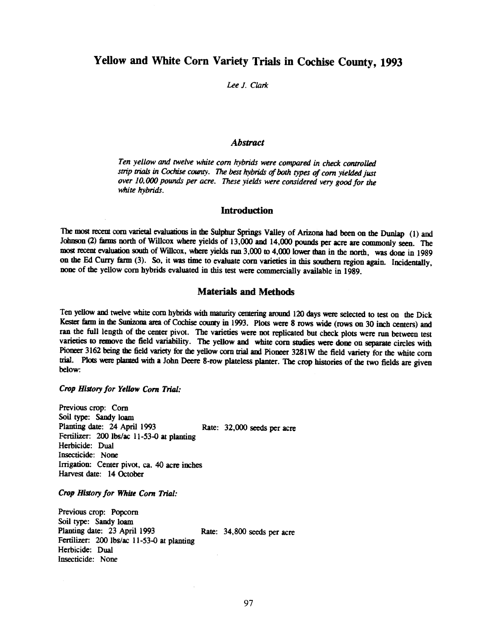# Yellow and White Corn Variety Trials in Cochise County, 1993

## Lee J. Clark

## Abstract

Ten yellow and twelve white corn hybrids were compared in check controlled strip trials in Cochise county. The best hybrids of both types of corn yielded just over 10, 000 pounds per acre. These yields were considered very good for the white hybrids.

### **Introduction**

The most recent corn varietal evaluations in the Sulphur Springs Valley of Arizona had beenon the Dunlap (1) and Johnson (2) farms north of Willcox where yields of 13,000 and 14,000 pounds per acre are commonly seen. The most recent evaluation south of Willcox, where yields run 3,000 to 4,000 lower than in the north, was done in 1989 on the Ed Curry farm (3). So, it was time to evaluate corn varieties in this southern region again. Incidentally, none of the yellow corn hybrids evaluated in this test were commercially available in 1989.

## Materials and Methods

Ten yellow and twelve white corn hybrids with maturity centering around 120 days were selected to test on the Dick Kester farm in the Sunizona area of Cochise county in 1993. Plots were 8 rows wide (rows on 30 inch centers) and ran the full length of the center pivot. The varieties were not replicated but check plots were run between test varieties to remove the field variability. The yellow and white corn studies were done on separate circles with Pioneer 3162 being the field variety for the yellow corn trial and Pioneer 3281W the field variety for the white corn trial. Plots were planted with a John Deere 8 -row plateless planter. The crop histories of the two fields are given below:

### Crop History for Yellow Corn Trial:

Previous crop: Corn Soil type: Sandy loam Planting date: 24 April 1993 Rate: 32,000 seeds per acre Fertilizer: 200 lbs/ac 11-53-0 at planting Herbicide: Dual Insecticide: None Irrigation: Center pivot, ca. 40 acre inches Harvest date: 14 October

Crop History for White Corn Trial:

Previous crop: Popcorn Soil type: Sandy loam<br>Planting date: 23 April 1993 Rate: 34,800 seeds per acre Fertilizer: 200 lbs/ac 11-53-0 at planting Herbicide: Dual Insecticide: None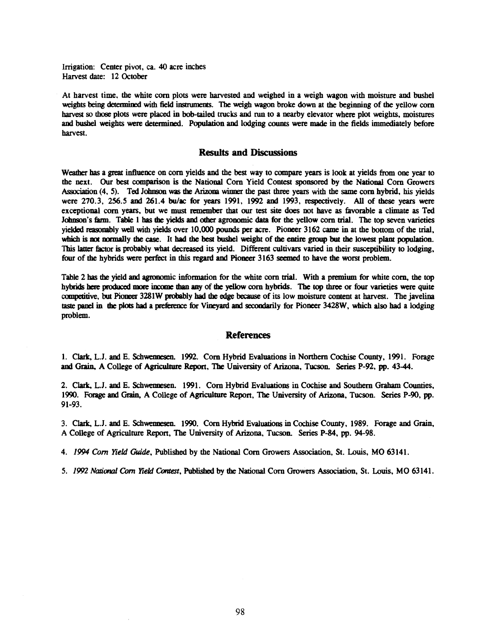Irrigation: Center pivot, ca. 40 acre inches Harvest date: 12 October

At harvest time, the white corn plots were harvested and weighed in a weigh wagon with moisture and bushel weights being determined with field instruments. The weigh wagon broke down at the beginning of the yellow corn harvest so those plots were placed in bob-tailed trucks and run to a nearby elevator where plot weights, moistures and bushel weights were determined. Population and lodging counts were made in the fields immediately before harvest.

## Results and Discussions

Weather has a great influence on corn yields and the best way to compare years is look at yields from one year to the next. Our best comparison is the National Corn Yield Contest sponsored by the National Corn Growers Association (4, 5). Ted Johnson was the Arizona winner the past three years with the same corn hybrid, his yields were 270.3, 256.5 and 261.4 bu/ac for years 1991, 1992 and 1993, respectively. All of these years were exceptional corn years, but we must remember that our test site does not have as favorable a climate as Ted Johnson's farm. Table 1 has the yields and other agronomic data for the yellow corn trial. The top seven varieties yielded reasonably well with yields over 10,000 pounds per acre. Pioneer 3162 came in at the bottom of the trial, which is not normally the case. It had the best bushel weight of the entire group but the lowest plant population. This latter factor is probably what decreased its yield. Different cultivars varied in their susceptibility to lodging, four of the hybrids were perfect in this regard and Pioneer 3163 seemed to have the worst problem.

Table 2 has the yield and agronomic information for the white corn trial. With a premium for white corn, the top hybrids here produced more income than any of the yellow corn hybrids. The top three or four varieties were quite competitive, but Pioneer 3281W probably had the edge because of its low moisture content at harvest. The javelina taste panel in the plots bad a preference for Vineyard and secondarily for Pioneer 3428W, which also had a lodging problem.

#### References

1. Clark, L.J. and E. Schwennesen. 1992. Corn Hybrid Evaluations in Northern Cochise County, 1991. Forage and Grain, A College of Agriculture Report, The University of Arizona, Tucson. Series P -92, pp. 43-44.

2. Clark, L.J. and E. Schwennesen. 1991. Corn Hybrid Evaluations in Cochise and Southern Graham Counties, 1990. Forage and Grain, A College of Agriculture Report, The University of Arizona, Tucson. Series P -90, pp. 91 -93.

3. Clark, L.J. and E. Schwennesen. 1990. Corn Hybrid Evaluations in Cochise County, 1989. Forage and Grain, A College of Agriculture Report, The University of Arizona, Tucson. Series P -84, pp. 94-98.

4. 1994 Corn Yield Guide, Published by the National Corn Growers Association, St. Louis, MO 63141.

5. 1992 National Com Yield Contest, Published by the National Corn Growers Association, St. Louis, MO 63141.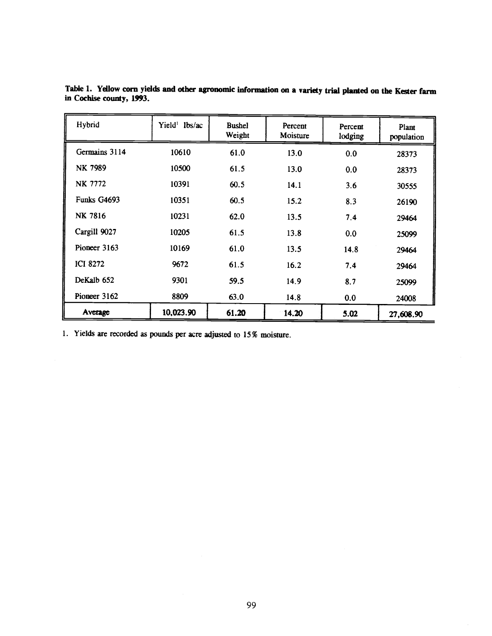| Hybrid          | Yield <sup>1</sup> lbs/ac | <b>Bushel</b><br>Weight | Percent<br>Moisture | Percent<br>lodging | Plant<br>population |
|-----------------|---------------------------|-------------------------|---------------------|--------------------|---------------------|
| Germains 3114   | 10610                     | 61.0                    | 13.0                | 0.0                | 28373               |
| NK 7989         | 10500                     | 61.5                    | 13.0                | 0.0                | 28373               |
| NK 7772         | 10391                     | 60.5                    | 14.1                | 3.6                | 30555               |
| Funks G4693     | 10351                     | 60.5                    | 15.2                | 8.3                | 26190               |
| NK 7816         | 10231                     | 62.0                    | 13.5                | 7.4                | 29464               |
| Cargill 9027    | 10205                     | 61.5                    | 13.8                | 0.0                | 25099               |
| Pioneer 3163    | 10169                     | 61.0                    | 13.5                | 14.8               | 29464               |
| <b>ICI 8272</b> | 9672                      | 61.5                    | 16.2                | 7.4                | 29464               |
| DeKalb 652      | 9301                      | 59.5                    | 14.9                | 8.7                | 25099               |
| Pioneer 3162    | 8809                      | 63.0                    | 14.8                | 0.0                | 24008               |
| Average         | 10,023.90                 | 61.20                   | 14.20               | 5.02               | 27,608.90           |

Table 1. Yellow corn yields and other agronomic information on a variety trial planted on the Kester farm in Cochise county, 1993.

1. Yields are recorded as pounds per acre adjusted to 15% moisture.